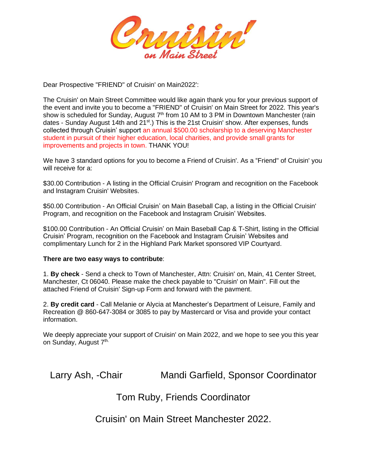

Dear Prospective "FRIEND" of Cruisin' on Main2022':

The Cruisin' on Main Street Committee would like again thank you for your previous support of the event and invite you to become a "FRIEND" of Cruisin' on Main Street for 2022. This year's show is scheduled for Sunday, August  $7<sup>th</sup>$  from 10 AM to 3 PM in Downtown Manchester (rain dates - Sunday August 14th and 21<sup>st</sup>.) This is the 21st Cruisin' show. After expenses, funds collected through Cruisin' support an annual \$500.00 scholarship to a deserving Manchester student in pursuit of their higher education, local charities, and provide small grants for improvements and projects in town. THANK YOU!

We have 3 standard options for you to become a Friend of Cruisin'. As a "Friend" of Cruisin' you will receive for a:

\$30.00 Contribution - A listing in the Official Cruisin' Program and recognition on the Facebook and lnstagram Cruisin' Websites.

\$50.00 Contribution - An Official Cruisin' on Main Baseball Cap, a listing in the Official Cruisin' Program, and recognition on the Facebook and lnstagram Cruisin' Websites.

\$100.00 Contribution - An Official Cruisin' on Main Baseball Cap & T-Shirt, listing in the Official Cruisin' Program, recognition on the Facebook and lnstagram Cruisin' Websites and complimentary Lunch for 2 in the Highland Park Market sponsored VIP Courtyard.

## **There are two easy ways to contribute**:

1. **By check** - Send a check to Town of Manchester, Attn: Cruisin' on, Main, 41 Center Street, Manchester, Ct 06040. Please make the check payable to "Cruisin' on Main". Fill out the attached Friend of Cruisin' Sign-up Form and forward with the pavment.

2. **By credit card** - Call Melanie or Alycia at Manchester's Department of Leisure, Family and Recreation @ 860-647-3084 or 3085 to pay by Mastercard or Visa and provide your contact information.

We deeply appreciate your support of Cruisin' on Main 2022, and we hope to see you this year on Sunday, August 7<sup>th.</sup>

Larry Ash, -Chair Mandi Garfield, Sponsor Coordinator

## Tom Ruby, Friends Coordinator

Cruisin' on Main Street Manchester 2022.